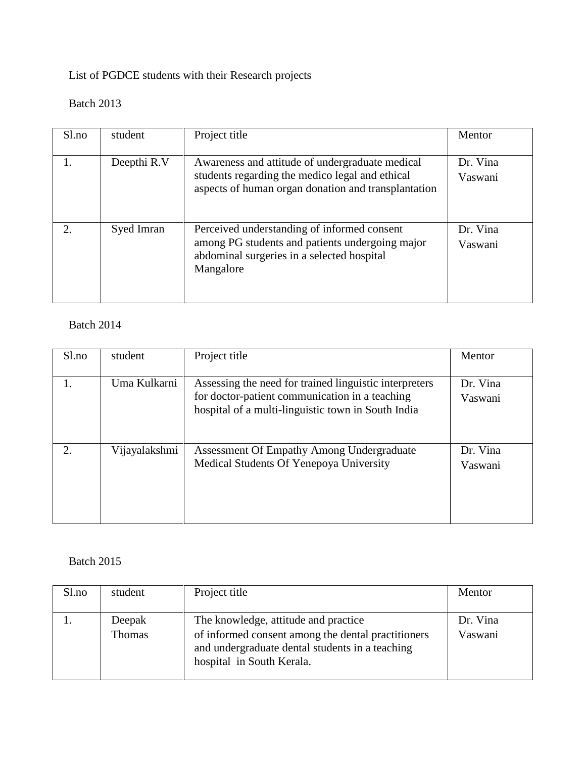List of PGDCE students with their Research projects

## Batch 2013

| S1.no | student     | Project title                                                                                                                                             | Mentor              |
|-------|-------------|-----------------------------------------------------------------------------------------------------------------------------------------------------------|---------------------|
|       | Deepthi R.V | Awareness and attitude of undergraduate medical<br>students regarding the medico legal and ethical<br>aspects of human organ donation and transplantation | Dr. Vina<br>Vaswani |
| 2.    | Syed Imran  | Perceived understanding of informed consent<br>among PG students and patients undergoing major<br>abdominal surgeries in a selected hospital<br>Mangalore | Dr. Vina<br>Vaswani |

## Batch 2014

| Sl.no | student       | Project title                                                                                                                                                  | Mentor              |
|-------|---------------|----------------------------------------------------------------------------------------------------------------------------------------------------------------|---------------------|
|       | Uma Kulkarni  | Assessing the need for trained linguistic interpreters<br>for doctor-patient communication in a teaching<br>hospital of a multi-linguistic town in South India | Dr. Vina<br>Vaswani |
| 2.    | Vijayalakshmi | Assessment Of Empathy Among Undergraduate<br>Medical Students Of Yenepoya University                                                                           | Dr. Vina<br>Vaswani |

## Batch 2015

| Sl.no | student          | Project title                                                                                                                                                              | Mentor              |
|-------|------------------|----------------------------------------------------------------------------------------------------------------------------------------------------------------------------|---------------------|
|       | Deepak<br>Thomas | The knowledge, attitude and practice<br>of informed consent among the dental practitioners<br>and undergraduate dental students in a teaching<br>hospital in South Kerala. | Dr. Vina<br>Vaswani |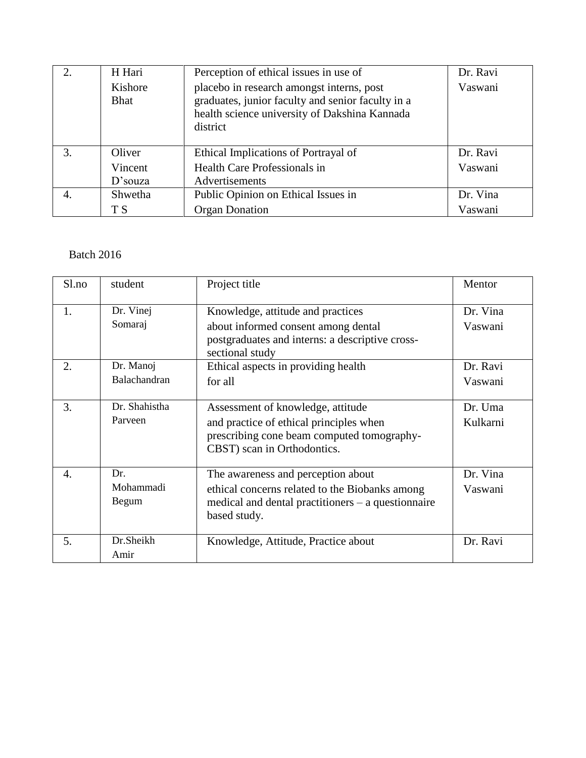| 2.               | H Hari                 | Perception of ethical issues in use of                                                                                                                      | Dr. Ravi |
|------------------|------------------------|-------------------------------------------------------------------------------------------------------------------------------------------------------------|----------|
|                  | Kishore<br><b>Bhat</b> | placebo in research amongst interns, post<br>graduates, junior faculty and senior faculty in a<br>health science university of Dakshina Kannada<br>district | Vaswani  |
| 3.               | Oliver                 | Ethical Implications of Portrayal of                                                                                                                        | Dr. Ravi |
|                  | Vincent                | Health Care Professionals in                                                                                                                                | Vaswani  |
|                  | $D$ 'souza             | Advertisements                                                                                                                                              |          |
| $\overline{4}$ . | Shwetha                | Public Opinion on Ethical Issues in                                                                                                                         | Dr. Vina |
|                  | T S                    | <b>Organ Donation</b>                                                                                                                                       | Vaswani  |

## Batch 2016

| Sl.no                 | student                   | Project title                                                                                                                                                | Mentor              |
|-----------------------|---------------------------|--------------------------------------------------------------------------------------------------------------------------------------------------------------|---------------------|
| 1.                    | Dr. Vinej<br>Somaraj      | Knowledge, attitude and practices<br>about informed consent among dental<br>postgraduates and interns: a descriptive cross-<br>sectional study               | Dr. Vina<br>Vaswani |
| 2.                    | Dr. Manoj<br>Balachandran | Ethical aspects in providing health<br>for all                                                                                                               | Dr. Ravi<br>Vaswani |
| 3.                    | Dr. Shahistha<br>Parveen  | Assessment of knowledge, attitude<br>and practice of ethical principles when<br>prescribing cone beam computed tomography-<br>CBST) scan in Orthodontics.    | Dr. Uma<br>Kulkarni |
| $\mathcal{A}_{\cdot}$ | Dr.<br>Mohammadi<br>Begum | The awareness and perception about<br>ethical concerns related to the Biobanks among<br>medical and dental practitioners $-$ a questionnaire<br>based study. | Dr. Vina<br>Vaswani |
| 5.                    | Dr.Sheikh<br>Amir         | Knowledge, Attitude, Practice about                                                                                                                          | Dr. Ravi            |